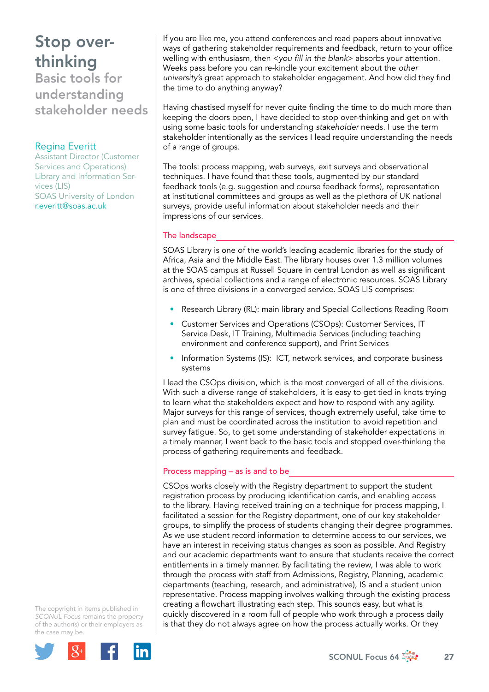## Stop overthinking

Basic tools for understanding stakeholder needs

## Regina Everitt

Assistant Director (Customer Services and Operations) Library and Information Services (LIS) SOAS University of London r.everitt@soas.ac.uk

If you are like me, you attend conferences and read papers about innovative ways of gathering stakeholder requirements and feedback, return to your office welling with enthusiasm, then <*you fill in the blank*> absorbs your attention. Weeks pass before you can re-kindle your excitement about the *other university's* great approach to stakeholder engagement. And how did they find the time to do anything anyway?

Having chastised myself for never quite finding the time to do much more than keeping the doors open, I have decided to stop over-thinking and get on with using some basic tools for understanding *stakeholder* needs. I use the term stakeholder intentionally as the services I lead require understanding the needs of a range of groups.

The tools: process mapping, web surveys, exit surveys and observational techniques. I have found that these tools, augmented by our standard feedback tools (e.g. suggestion and course feedback forms), representation at institutional committees and groups as well as the plethora of UK national surveys, provide useful information about stakeholder needs and their impressions of our services.

### The landscape

SOAS Library is one of the world's leading academic libraries for the study of Africa, Asia and the Middle East. The library houses over 1.3 million volumes at the SOAS campus at Russell Square in central London as well as significant archives, special collections and a range of electronic resources. SOAS Library is one of three divisions in a converged service. SOAS LIS comprises:

- Research Library (RL): main library and Special Collections Reading Room
- Customer Services and Operations (CSOps): Customer Services, IT Service Desk, IT Training, Multimedia Services (including teaching environment and conference support), and Print Services
- Information Systems (IS): ICT, network services, and corporate business systems

I lead the CSOps division, which is the most converged of all of the divisions. With such a diverse range of stakeholders, it is easy to get tied in knots trying to learn what the stakeholders expect and how to respond with any agility. Major surveys for this range of services, though extremely useful, take time to plan and must be coordinated across the institution to avoid repetition and survey fatigue. So, to get some understanding of stakeholder expectations in a timely manner, I went back to the basic tools and stopped over-thinking the process of gathering requirements and feedback.

#### Process mapping – as is and to be

CSOps works closely with the Registry department to support the student registration process by producing identification cards, and enabling access to the library. Having received training on a technique for process mapping, I facilitated a session for the Registry department, one of our key stakeholder groups, to simplify the process of students changing their degree programmes. As we use student record information to determine access to our services, we have an interest in receiving status changes as soon as possible. And Registry and our academic departments want to ensure that students receive the correct entitlements in a timely manner. By facilitating the review, I was able to work through the process with staff from Admissions, Registry, Planning, academic departments (teaching, research, and administrative), IS and a student union representative. Process mapping involves walking through the existing process creating a flowchart illustrating each step. This sounds easy, but what is quickly discovered in a room full of people who work through a process daily is that they do not always agree on how the process actually works. Or they

The copyright in items published in *SCONUL Focus* remains the property of the author(s) or their employers as the case m[ay be.](http://plus.google.com/share?url=http://www.sconul.ac.uk/page/focus-64)



SCONUL Focus 64  $\frac{1}{200}$  27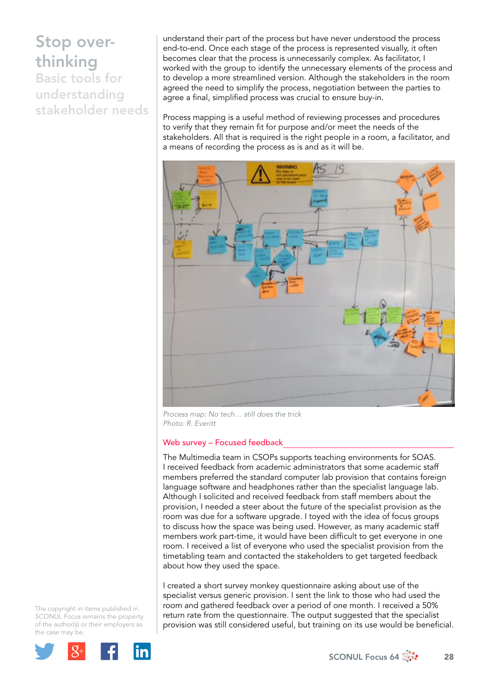# Stop overthinking Basic tools for

understanding stakeholder needs

understand their part of the process but have never understood the process end-to-end. Once each stage of the process is represented visually, it often becomes clear that the process is unnecessarily complex. As facilitator, I worked with the group to identify the unnecessary elements of the process and to develop a more streamlined version. Although the stakeholders in the room agreed the need to simplify the process, negotiation between the parties to agree a final, simplified process was crucial to ensure buy-in.

Process mapping is a useful method of reviewing processes and procedures to verify that they remain fit for purpose and/or meet the needs of the stakeholders. All that is required is the right people in a room, a facilitator, and a means of recording the process as is and as it will be.



*Process map: No tech… still does the trick Photo: R. Everitt*

### Web survey – Focused feedback

The Multimedia team in CSOPs supports teaching environments for SOAS. I received feedback from academic administrators that some academic staff members preferred the standard computer lab provision that contains foreign language software and headphones rather than the specialist language lab. Although I solicited and received feedback from staff members about the provision, I needed a steer about the future of the specialist provision as the room was due for a software upgrade. I toyed with the idea of focus groups to discuss how the space was being used. However, as many academic staff members work part-time, it would have been difficult to get everyone in one room. I received a list of everyone who used the specialist provision from the timetabling team and contacted the stakeholders to get targeted feedback about how they used the space.

I created a short survey monkey questionnaire asking about use of the specialist versus generic provision. I sent the link to those who had used the room and gathered feedback over a period of one month. I received a 50% return rate from the questionnaire. The output suggested that the specialist provision was still considered useful, but training on its use would be beneficial.

The copyright in items published in *SCONUL Focus* remains the property of the author(s) or their employers as the case m[ay be.](http://plus.google.com/share?url=http://www.sconul.ac.uk/page/focus-64)

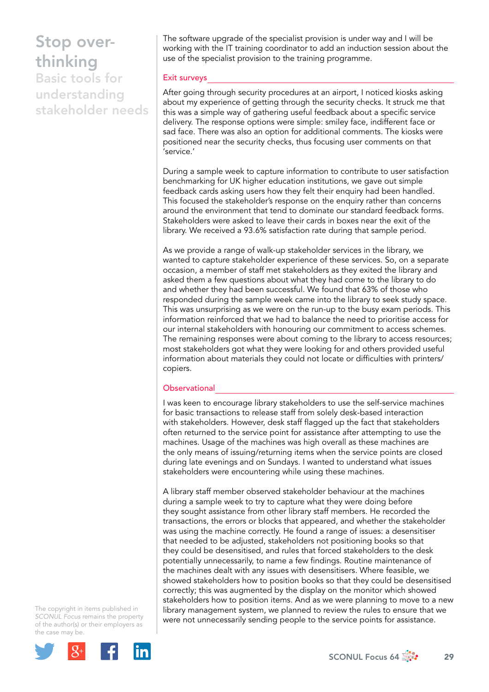## Stop overthinking

Basic tools for understanding stakeholder needs The software upgrade of the specialist provision is under way and I will be working with the IT training coordinator to add an induction session about the use of the specialist provision to the training programme.

#### Exit surveys

After going through security procedures at an airport, I noticed kiosks asking about my experience of getting through the security checks. It struck me that this was a simple way of gathering useful feedback about a specific service delivery. The response options were simple: smiley face, indifferent face or sad face. There was also an option for additional comments. The kiosks were positioned near the security checks, thus focusing user comments on that 'service.'

During a sample week to capture information to contribute to user satisfaction benchmarking for UK higher education institutions, we gave out simple feedback cards asking users how they felt their enquiry had been handled. This focused the stakeholder's response on the enquiry rather than concerns around the environment that tend to dominate our standard feedback forms. Stakeholders were asked to leave their cards in boxes near the exit of the library. We received a 93.6% satisfaction rate during that sample period.

As we provide a range of walk-up stakeholder services in the library, we wanted to capture stakeholder experience of these services. So, on a separate occasion, a member of staff met stakeholders as they exited the library and asked them a few questions about what they had come to the library to do and whether they had been successful. We found that 63% of those who responded during the sample week came into the library to seek study space. This was unsurprising as we were on the run-up to the busy exam periods. This information reinforced that we had to balance the need to prioritise access for our internal stakeholders with honouring our commitment to access schemes. The remaining responses were about coming to the library to access resources; most stakeholders got what they were looking for and others provided useful information about materials they could not locate or difficulties with printers/ copiers.

#### Observational

I was keen to encourage library stakeholders to use the self-service machines for basic transactions to release staff from solely desk-based interaction with stakeholders. However, desk staff flagged up the fact that stakeholders often returned to the service point for assistance after attempting to use the machines. Usage of the machines was high overall as these machines are the only means of issuing/returning items when the service points are closed during late evenings and on Sundays. I wanted to understand what issues stakeholders were encountering while using these machines.

A library staff member observed stakeholder behaviour at the machines during a sample week to try to capture what they were doing before they sought assistance from other library staff members. He recorded the transactions, the errors or blocks that appeared, and whether the stakeholder was using the machine correctly. He found a range of issues: a desensitiser that needed to be adjusted, stakeholders not positioning books so that they could be desensitised, and rules that forced stakeholders to the desk potentially unnecessarily, to name a few findings. Routine maintenance of the machines dealt with any issues with desensitisers. Where feasible, we showed stakeholders how to position books so that they could be desensitised correctly; this was augmented by the display on the monitor which showed stakeholders how to position items. And as we were planning to move to a new library management system, we planned to review the rules to ensure that we were not unnecessarily sending people to the service points for assistance.

The copyright in items published in *SCONUL Focus* remains the property of the author(s) or their employers as the case m[ay be.](http://plus.google.com/share?url=http://www.sconul.ac.uk/page/focus-64)